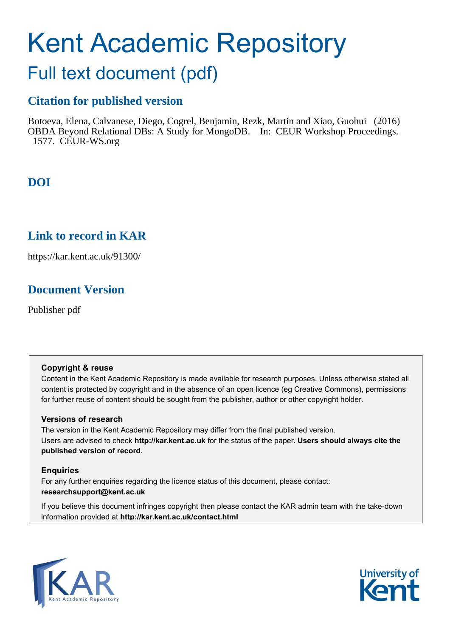# Kent Academic Repository

## Full text document (pdf)

## **Citation for published version**

Botoeva, Elena, Calvanese, Diego, Cogrel, Benjamin, Rezk, Martin and Xiao, Guohui (2016) OBDA Beyond Relational DBs: A Study for MongoDB. In: CEUR Workshop Proceedings. 1577. CEUR-WS.org

## **DOI**

## **Link to record in KAR**

https://kar.kent.ac.uk/91300/

## **Document Version**

Publisher pdf

#### **Copyright & reuse**

Content in the Kent Academic Repository is made available for research purposes. Unless otherwise stated all content is protected by copyright and in the absence of an open licence (eg Creative Commons), permissions for further reuse of content should be sought from the publisher, author or other copyright holder.

#### **Versions of research**

The version in the Kent Academic Repository may differ from the final published version. Users are advised to check **http://kar.kent.ac.uk** for the status of the paper. **Users should always cite the published version of record.**

#### **Enquiries**

For any further enquiries regarding the licence status of this document, please contact: **researchsupport@kent.ac.uk**

If you believe this document infringes copyright then please contact the KAR admin team with the take-down information provided at **http://kar.kent.ac.uk/contact.html**



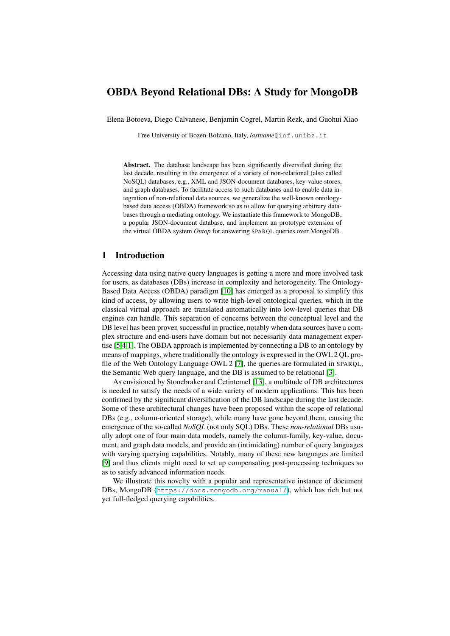#### OBDA Beyond Relational DBs: A Study for MongoDB

Elena Botoeva, Diego Calvanese, Benjamin Cogrel, Martin Rezk, and Guohui Xiao

Free University of Bozen-Bolzano, Italy, *lastname*@inf.unibz.it

Abstract. The database landscape has been significantly diversified during the last decade, resulting in the emergence of a variety of non-relational (also called NoSQL) databases, e.g., XML and JSON-document databases, key-value stores, and graph databases. To facilitate access to such databases and to enable data integration of non-relational data sources, we generalize the well-known ontologybased data access (OBDA) framework so as to allow for querying arbitrary databases through a mediating ontology. We instantiate this framework to MongoDB, a popular JSON-document database, and implement an prototype extension of the virtual OBDA system *Ontop* for answering SPARQL queries over MongoDB.

#### 1 Introduction

Accessing data using native query languages is getting a more and more involved task for users, as databases (DBs) increase in complexity and heterogeneity. The Ontology-Based Data Access (OBDA) paradigm [10] has emerged as a proposal to simplify this kind of access, by allowing users to write high-level ontological queries, which in the classical virtual approach are translated automatically into low-level queries that DB engines can handle. This separation of concerns between the conceptual level and the DB level has been proven successful in practice, notably when data sources have a complex structure and end-users have domain but not necessarily data management expertise [5,4,1]. The OBDA approach is implemented by connecting a DB to an ontology by means of mappings, where traditionally the ontology is expressed in the OWL 2 QL profile of the Web Ontology Language OWL 2 [7], the queries are formulated in SPARQL, the Semantic Web query language, and the DB is assumed to be relational [3].

As envisioned by Stonebraker and Cetintemel [13], a multitude of DB architectures is needed to satisfy the needs of a wide variety of modern applications. This has been confirmed by the significant diversification of the DB landscape during the last decade. Some of these architectural changes have been proposed within the scope of relational DBs (e.g., column-oriented storage), while many have gone beyond them, causing the emergence of the so-called *NoSQL* (not only SQL) DBs. These *non-relational* DBs usually adopt one of four main data models, namely the column-family, key-value, document, and graph data models, and provide an (intimidating) number of query languages with varying querying capabilities. Notably, many of these new languages are limited [9] and thus clients might need to set up compensating post-processing techniques so as to satisfy advanced information needs.

We illustrate this novelty with a popular and representative instance of document DBs, MongoDB (<https://docs.mongodb.org/manual/>), which has rich but not yet full-fledged querying capabilities.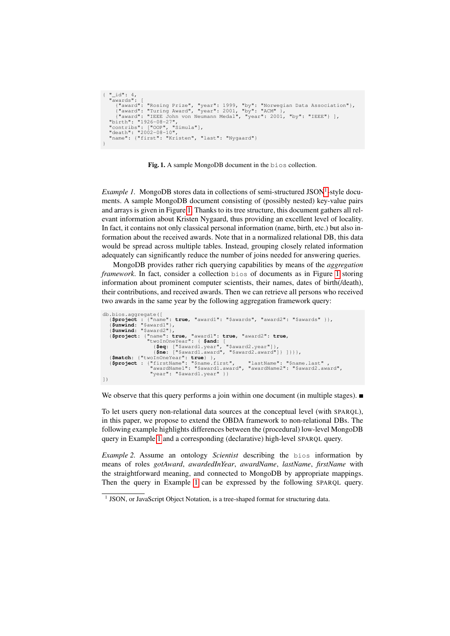```
{\binom {\mathfrak{m}}_{\perp}}id": 4,
      "awards": [<br>{"award": "Rosing Prize", "year": 1999, "by": "Norwegian Data Association"},<br>{"award": "Turing Award", "year": 2001, "by": "ACM" },<br>"Lith": "IEEE John von Neumann Medal", "year": 2001, "by": "IEEE"} ],<br>"birth":
      "contribs": ["OOP", "Simula"],
"death": "2002-08-10",
      "name": {"first": "Kristen", "last": "Nygaard"}
 }
```
Fig. 1. A sample MongoDB document in the bios collection.

*Example 1.* MongoDB stores data in collections of semi-structured JSON<sup>1</sup>-style documents. A sample MongoDB document consisting of (possibly nested) key-value pairs and arrays is given in Figure 1. Thanks to its tree structure, this document gathers all relevant information about Kristen Nygaard, thus providing an excellent level of locality. In fact, it contains not only classical personal information (name, birth, etc.) but also information about the received awards. Note that in a normalized relational DB, this data would be spread across multiple tables. Instead, grouping closely related information adequately can significantly reduce the number of joins needed for answering queries.

MongoDB provides rather rich querying capabilities by means of the *aggregation framework*. In fact, consider a collection bios of documents as in Figure 1 storing information about prominent computer scientists, their names, dates of birth(/death), their contributions, and received awards. Then we can retrieve all persons who received two awards in the same year by the following aggregation framework query:

```
db.bios.aggregate([
    {$project : {"name": true, "award1": "$awards", "award2": "$awards" }},
{$unwind: "$award1"},
     {$unwind: "$award2"},
    {$project: {"name": true, "award1": true, "award2": true,
                        "twoInOneYear": { $and: [
{$eq: ["$award1.year", "$award2.year"]},
{$ne: ["$award1.award", "$award2.award"]} ]}}},
    {$match: {"twoInOneYear": true} },
{$project : {"firstName": "$name.first", "lastName": "$name.last" ,
"awardName1": "$award1.award", "awardName2": "$award2.award",
"year": "$award1.year" }}
])
```
We observe that this query performs a join within one document (in multiple stages).

To let users query non-relational data sources at the conceptual level (with SPARQL), in this paper, we propose to extend the OBDA framework to non-relational DBs. The following example highlights differences between the (procedural) low-level MongoDB query in Example 1 and a corresponding (declarative) high-level SPARQL query.

*Example 2.* Assume an ontology *Scientist* describing the bios information by means of roles *gotAward*, *awardedInYear*, *awardName*, *lastName*, *firstName* with the straightforward meaning, and connected to MongoDB by appropriate mappings. Then the query in Example 1 can be expressed by the following SPARQL query.

<sup>&</sup>lt;sup>1</sup> JSON, or JavaScript Object Notation, is a tree-shaped format for structuring data.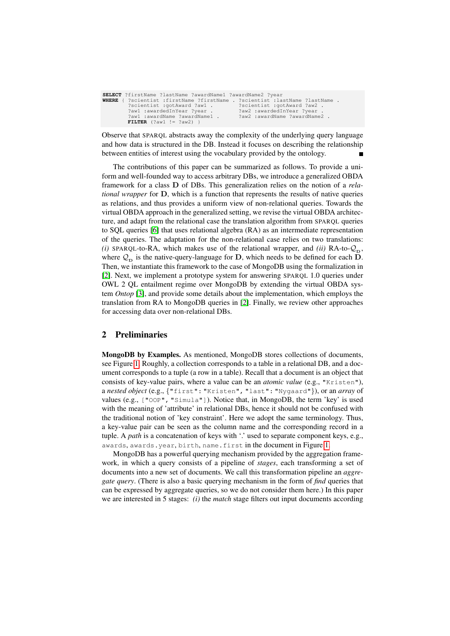| SELECT ?firstName ?lastName ?awardName1 ?awardName2 ?year                          |                               |
|------------------------------------------------------------------------------------|-------------------------------|
| <b>WHERE</b> { ?scientist :firstName ?firstName . ?scientist :lastName ?lastName . |                               |
| ?scientist :gotAward ?aw1 .                                                        | ?scientist : qotAward ?aw2 .  |
| ?awl :awardedInYear ?year .                                                        | ?aw2 :awardedInYear ?year .   |
| ?awl :awardName ?awardName1 .                                                      | ?aw2 :awardName ?awardName2 . |
| <b>FILTER</b> $(2aw1 := 2aw2)$                                                     |                               |

Observe that SPARQL abstracts away the complexity of the underlying query language and how data is structured in the DB. Instead it focuses on describing the relationship between entities of interest using the vocabulary provided by the ontology. Н

The contributions of this paper can be summarized as follows. To provide a uniform and well-founded way to access arbitrary DBs, we introduce a generalized OBDA framework for a class D of DBs. This generalization relies on the notion of a *relational wrapper* for D, which is a function that represents the results of native queries as relations, and thus provides a uniform view of non-relational queries. Towards the virtual OBDA approach in the generalized setting, we revise the virtual OBDA architecture, and adapt from the relational case the translation algorithm from SPARQL queries to SQL queries [6] that uses relational algebra (RA) as an intermediate representation of the queries. The adaptation for the non-relational case relies on two translations: *(i)* SPARQL-to-RA, which makes use of the relational wrapper, and *(ii)* RA-to- $\mathcal{Q}_D$ , where  $\mathcal{Q}_{\mathbf{p}}$  is the native-query-language for **D**, which needs to be defined for each **D**. Then, we instantiate this framework to the case of MongoDB using the formalization in [2]. Next, we implement a prototype system for answering SPARQL 1.0 queries under OWL 2 QL entailment regime over MongoDB by extending the virtual OBDA system *Ontop* [3], and provide some details about the implementation, which employs the translation from RA to MongoDB queries in [2]. Finally, we review other approaches for accessing data over non-relational DBs.

#### 2 Preliminaries

MongoDB by Examples. As mentioned, MongoDB stores collections of documents, see Figure 1. Roughly, a collection corresponds to a table in a relational DB, and a document corresponds to a tuple (a row in a table). Recall that a document is an object that consists of key-value pairs, where a value can be an *atomic value* (e.g., "Kristen"), a *nested object* (e.g., {"first": "Kristen", "last": "Nygaard"}), or an *array* of values (e.g., ["OOP", "Simula"]). Notice that, in MongoDB, the term 'key' is used with the meaning of 'attribute' in relational DBs, hence it should not be confused with the traditional notion of 'key constraint'. Here we adopt the same terminology. Thus, a key-value pair can be seen as the column name and the corresponding record in a tuple. A *path* is a concatenation of keys with '.' used to separate component keys, e.g., awards, awards.year, birth, name.first in the document in Figure 1.

MongoDB has a powerful querying mechanism provided by the aggregation framework, in which a query consists of a pipeline of *stages*, each transforming a set of documents into a new set of documents. We call this transformation pipeline an *aggregate query*. (There is also a basic querying mechanism in the form of *find* queries that can be expressed by aggregate queries, so we do not consider them here.) In this paper we are interested in 5 stages: *(i)* the *match* stage filters out input documents according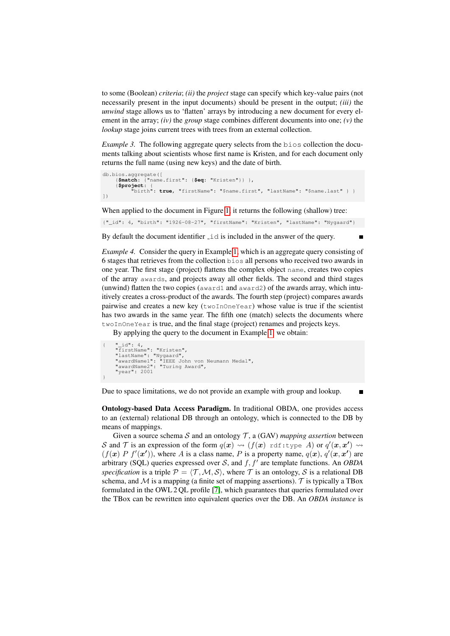to some (Boolean) *criteria*; *(ii)* the *project* stage can specify which key-value pairs (not necessarily present in the input documents) should be present in the output; *(iii)* the *unwind* stage allows us to 'flatten' arrays by introducing a new document for every element in the array; *(iv)* the *group* stage combines different documents into one; *(v)* the *lookup* stage joins current trees with trees from an external collection.

*Example 3.* The following aggregate query selects from the bios collection the documents talking about scientists whose first name is Kristen, and for each document only returns the full name (using new keys) and the date of birth.

```
db.bios.aggregate([
     {$match: {"name.first": {$eq: "Kristen"}} },
    {$project: {
          "birth": true, "firstName": "$name.first", "lastName": "$name.last" } }
])
```
When applied to the document in Figure 1, it returns the following (shallow) tree:

{"\_id": 4, "birth": "1926-08-27", "firstName": "Kristen", "lastName": "Nygaard"}

By default the document identifier  $\exists \exists$  is included in the answer of the query.

*Example 4.* Consider the query in Example 1, which is an aggregate query consisting of 6 stages that retrieves from the collection bios all persons who received two awards in one year. The first stage (project) flattens the complex object name, creates two copies of the array awards, and projects away all other fields. The second and third stages (unwind) flatten the two copies (award1 and award2) of the awards array, which intuitively creates a cross-product of the awards. The fourth step (project) compares awards pairwise and creates a new key (twoInOneYear) whose value is true if the scientist has two awards in the same year. The fifth one (match) selects the documents where twoInOneYear is true, and the final stage (project) renames and projects keys.

By applying the query to the document in Example 1, we obtain:

```
{ "_id": 4,
"firstName": "Kristen",
     "lastName": "Nygaard",
"awardName1": "IEEE John von Neumann Medal",
     "awardName2": "Turing Award",
     "year": 2001
}
```
Due to space limitations, we do not provide an example with group and lookup.

Ontology-based Data Access Paradigm. In traditional OBDA, one provides access to an (external) relational DB through an ontology, which is connected to the DB by means of mappings.

Given a source schema  $S$  and an ontology  $T$ , a (GAV) *mapping assertion* between S and T is an expression of the form  $q(x) \rightsquigarrow (f(x) \text{ rdf:type } A)$  or  $q'(x, x') \rightsquigarrow$  $(f(\mathbf{x}) P f'(\mathbf{x}'))$ , where A is a class name, P is a property name,  $q(\mathbf{x})$ ,  $q'(\mathbf{x}, \mathbf{x}')$  are arbitrary (SQL) queries expressed over  $S$ , and  $f$ ,  $f'$  are template functions. An *OBDA specification* is a triple  $P = \langle T, M, S \rangle$ , where T is an ontology, S is a relational DB schema, and  $\mathcal M$  is a mapping (a finite set of mapping assertions). T is typically a TBox formulated in the OWL 2 QL profile [7], which guarantees that queries formulated over the TBox can be rewritten into equivalent queries over the DB. An *OBDA instance* is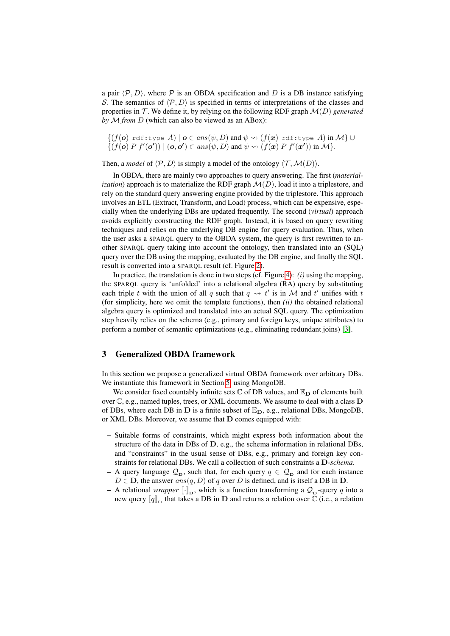a pair  $\langle \mathcal{P}, D \rangle$ , where  $\mathcal P$  is an OBDA specification and D is a DB instance satisfying S. The semantics of  $\langle \mathcal{P}, D \rangle$  is specified in terms of interpretations of the classes and properties in  $\mathcal T$ . We define it, by relying on the following RDF graph  $\mathcal M(D)$  *generated by* M *from* D (which can also be viewed as an ABox):

 $\{(f(\boldsymbol{o}) \text{ rdf:type } A) | \boldsymbol{o} \in ans(\psi, D) \text{ and } \psi \rightsquigarrow (f(\boldsymbol{x}) \text{ rdf:type } A) \text{ in } \mathcal{M}\} \cup$  $\{ (f(\boldsymbol{o}) P f'(\boldsymbol{o}')) \mid (\boldsymbol{o}, \boldsymbol{o}') \in ans(\psi, D) \text{ and } \psi \rightsquigarrow (f(\boldsymbol{x}) P f'(\boldsymbol{x}')) \text{ in } \mathcal{M} \}.$ 

Then, a *model* of  $\langle \mathcal{P}, D \rangle$  is simply a model of the ontology  $\langle \mathcal{T}, \mathcal{M}(D) \rangle$ .

In OBDA, there are mainly two approaches to query answering. The first (*materialization*) approach is to materialize the RDF graph  $\mathcal{M}(D)$ , load it into a triplestore, and rely on the standard query answering engine provided by the triplestore. This approach involves an ETL (Extract, Transform, and Load) process, which can be expensive, especially when the underlying DBs are updated frequently. The second (*virtual*) approach avoids explicitly constructing the RDF graph. Instead, it is based on query rewriting techniques and relies on the underlying DB engine for query evaluation. Thus, when the user asks a SPARQL query to the OBDA system, the query is first rewritten to another SPARQL query taking into account the ontology, then translated into an (SQL) query over the DB using the mapping, evaluated by the DB engine, and finally the SQL result is converted into a SPARQL result (cf. Figure 2).

In practice, the translation is done in two steps (cf. Figure 4): *(i)* using the mapping, the SPARQL query is 'unfolded' into a relational algebra (RA) query by substituting each triple t with the union of all q such that  $q \rightsquigarrow t'$  is in M and t' unifies with t (for simplicity, here we omit the template functions), then *(ii)* the obtained relational algebra query is optimized and translated into an actual SQL query. The optimization step heavily relies on the schema (e.g., primary and foreign keys, unique attributes) to perform a number of semantic optimizations (e.g., eliminating redundant joins) [3].

#### 3 Generalized OBDA framework

In this section we propose a generalized virtual OBDA framework over arbitrary DBs. We instantiate this framework in Section 5, using MongoDB.

We consider fixed countably infinite sets  $\mathbb C$  of DB values, and  $\mathbb E_{\mathbf D}$  of elements built over C, e.g., named tuples, trees, or XML documents. We assume to deal with a class D of DBs, where each DB in D is a finite subset of  $\mathbb{E}_{D}$ , e.g., relational DBs, MongoDB, or XML DBs. Moreover, we assume that D comes equipped with:

- Suitable forms of constraints, which might express both information about the structure of the data in DBs of  $D$ , e.g., the schema information in relational DBs, and "constraints" in the usual sense of DBs, e.g., primary and foreign key constraints for relational DBs. We call a collection of such constraints a D*-schema*.
- A query language  $\mathcal{Q}_{\mathbf{D}}$ , such that, for each query  $q \in \mathcal{Q}_{\mathbf{D}}$  and for each instance  $D \in \mathbf{D}$ , the answer  $ans(q, D)$  of q over D is defined, and is itself a DB in  $\mathbf{D}$ .
- A relational *wrapper*  $[\cdot]_D$ , which is a function transforming a  $\mathcal{Q}_D$ -query q into a new query  $\llbracket q \rrbracket_{\text{D}}$  that takes a DB in **D** and returns a relation over  $\mathbb C$  (i.e., a relation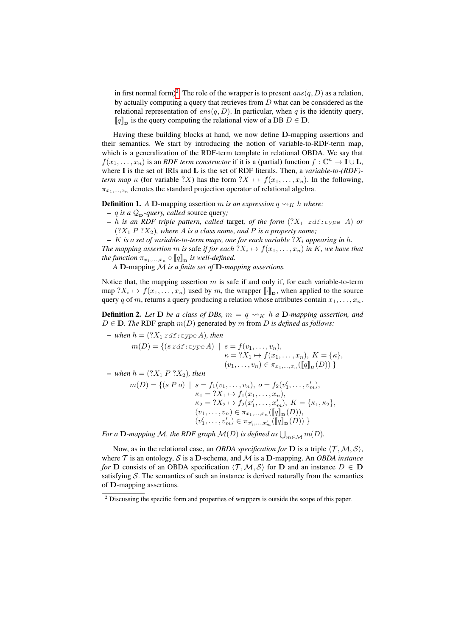in first normal form)<sup>2</sup>. The role of the wrapper is to present  $ans(q, D)$  as a relation, by actually computing a query that retrieves from D what can be considered as the relational representation of  $ans(q, D)$ . In particular, when q is the identity query,  $\llbracket q \rrbracket_{\text{D}}$  is the query computing the relational view of a DB  $D \in \mathbf{D}$ .

Having these building blocks at hand, we now define D-mapping assertions and their semantics. We start by introducing the notion of variable-to-RDF-term map, which is a generalization of the RDF-term template in relational OBDA. We say that  $f(x_1, \ldots, x_n)$  is an *RDF term constructor* if it is a (partial) function  $f: \mathbb{C}^n \to I \cup L$ , where I is the set of IRIs and L is the set of RDF literals. Then, a *variable-to-(RDF) term map*  $\kappa$  (for variable ?X) has the form  $?X \mapsto f(x_1, \ldots, x_n)$ . In the following,  $\pi_{x_1,\ldots,x_n}$  denotes the standard projection operator of relational algebra.

**Definition 1.** *A* D-mapping assertion *m is an expression*  $q \rightarrow K h$  *where:* 

- $-$  *q is a*  $Q_{\text{D}}$ *-query, called* source query;
- $h$  *is an RDF triple pattern, called target, of the form*  $(?X_1 \text{ rdf: type } A)$  *or*  $(?X_1 P ?X_2)$ , where A *is a class name*, and P *is a property name*;
- $-$  K *is a set of variable-to-term maps, one for each variable*  $?X_i$  *appearing in h.*

The mapping assertion  $m$  is safe if for each  $?X_i \mapsto f(x_1, \ldots, x_n)$  in  $K$ , we have that *the function*  $\pi_{x_1,\dots,x_n} \circ [q]_D$  *is well-defined.* 

*A* D-mapping M *is a finite set of* D*-mapping assertions.*

Notice that, the mapping assertion  $m$  is safe if and only if, for each variable-to-term map  $?X_i \mapsto f(x_1, \ldots, x_n)$  used by m, the wrapper  $[\![\cdot]\!]_D$ , when applied to the source query q of m, returns a query producing a relation whose attributes contain  $x_1, \ldots, x_n$ .

**Definition 2.** Let **D** be a class of DBs,  $m = q \rightsquigarrow_K h a$  **D**-mapping assertion, and  $D \in \mathbf{D}$ . The RDF graph  $m(D)$  generated by m from D is defined as follows:

 $-$  *when*  $h = (?X_1 \text{ rdf} : type A)$ *, then* 

$$
m(D) = \{ (s \, \text{rdf.} \, \text{type } A) \mid s = f(v_1, \dots, v_n), \kappa = ?X_1 \mapsto f(x_1, \dots, x_n), K = \{\kappa\}, (v_1, \dots, v_n) \in \pi_{x_1, \dots, x_n}([\![q]\!]_D(D)) \}
$$

 $-$  *when*  $h = (?X_1 P ?X_2)$ *, then* 

$$
m(D) = \{ (s \ P \ o) \mid s = f_1(v_1, \ldots, v_n), \ o = f_2(v'_1, \ldots, v'_m),
$$
  
\n
$$
\kappa_1 = ?X_1 \mapsto f_1(x_1, \ldots, x_n),
$$
  
\n
$$
\kappa_2 = ?X_2 \mapsto f_2(x'_1, \ldots, x'_m), \ K = \{\kappa_1, \kappa_2\},
$$
  
\n
$$
(v_1, \ldots, v_n) \in \pi_{x_1, \ldots, x_n}([\![q]\!]_D(D)),
$$
  
\n
$$
(v'_1, \ldots, v'_m) \in \pi_{x'_1, \ldots, x'_m}([\![q]\!]_D(D)) \}
$$

For a  ${\bf D}$ -mapping M, the RDF graph  ${\cal M}(D)$  is defined as  $\bigcup_{m\in {\cal M}} m(D).$ 

Now, as in the relational case, an *OBDA specification for* **D** is a triple  $\langle \mathcal{T}, \mathcal{M}, \mathcal{S} \rangle$ , where  $T$  is an ontology,  $S$  is a D-schema, and  $M$  is a D-mapping. An *OBDA instance for* **D** consists of an OBDA specification  $\langle \mathcal{T}, \mathcal{M}, \mathcal{S} \rangle$  for **D** and an instance  $D \in \mathbf{D}$ satisfying  $S$ . The semantics of such an instance is derived naturally from the semantics of D-mapping assertions.

<sup>&</sup>lt;sup>2</sup> Discussing the specific form and properties of wrappers is outside the scope of this paper.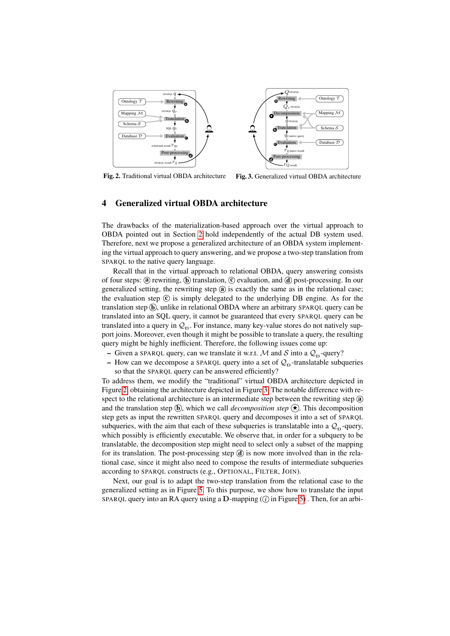

Fig. 2. Traditional virtual OBDA architecture Fig. 3. Generalized virtual OBDA architecture

#### 4 Generalized virtual OBDA architecture

The drawbacks of the materialization-based approach over the virtual approach to OBDA pointed out in Section 2 hold independently of the actual DB system used. Therefore, next we propose a generalized architecture of an OBDA system implementing the virtual approach to query answering, and we propose a two-step translation from SPARQL to the native query language.

Recall that in the virtual approach to relational OBDA, query answering consists of four steps: (a) rewriting,  $\overline{b}$  translation,  $\overline{c}$  evaluation, and  $\overline{d}$  post-processing. In our generalized setting, the rewriting step  $\hat{a}$  is exactly the same as in the relational case; the evaluation step  $\odot$  is simply delegated to the underlying DB engine. As for the translation step  $\hat{b}$ , unlike in relational OBDA where an arbitrary SPARQL query can be translated into an SQL query, it cannot be guaranteed that every SPARQL query can be translated into a query in  $\mathcal{Q}_D$ . For instance, many key-value stores do not natively support joins. Moreover, even though it might be possible to translate a query, the resulting query might be highly inefficient. Therefore, the following issues come up:

- Given a SPARQL query, can we translate it w.r.t. M and S into a  $Q_{\text{D}}$ -query?
- How can we decompose a SPARQL query into a set of  $\mathcal{Q}_D$ -translatable subqueries so that the SPARQL query can be answered efficiently?

To address them, we modify the "traditional" virtual OBDA architecture depicted in Figure 2, obtaining the architecture depicted in Figure 3. The notable difference with respect to the relational architecture is an intermediate step between the rewriting step  $\omega$ and the translation step  $\hat{b}$ , which we call *decomposition step*  $\hat{\star}$ . This decomposition step gets as input the rewritten SPARQL query and decomposes it into a set of SPARQL subqueries, with the aim that each of these subqueries is translatable into a  $\mathcal{Q}_D$ -query, which possibly is efficiently executable. We observe that, in order for a subquery to be translatable, the decomposition step might need to select only a subset of the mapping for its translation. The post-processing step  $\hat{d}$  is now more involved than in the relational case, since it might also need to compose the results of intermediate subqueries according to SPARQL constructs (e.g., OPTIONAL, FILTER, JOIN).

Next, our goal is to adapt the two-step translation from the relational case to the generalized setting as in Figure 5. To this purpose, we show how to translate the input SPARQL query into an RA query using a  $D$ -mapping ( $\hat{U}$  in Figure 5). Then, for an arbi-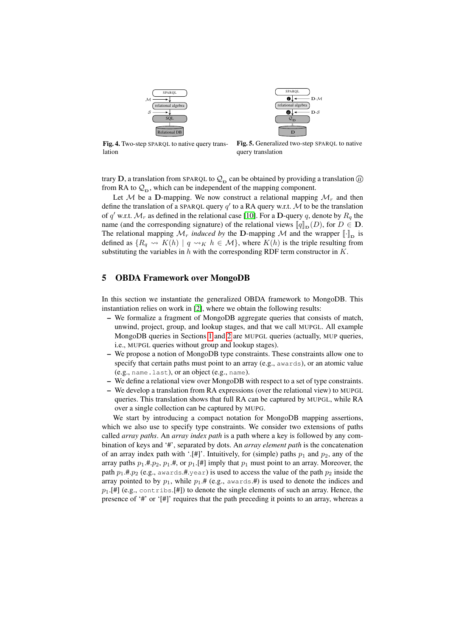



Fig. 4. Two-step SPARQL to native query translation

Fig. 5. Generalized two-step SPARQL to native query translation

trary D, a translation from SPARQL to  $\mathcal{Q}_D$  can be obtained by providing a translation *ii*) from RA to  $\mathcal{Q}_D$ , which can be independent of the mapping component.

Let M be a D-mapping. We now construct a relational mapping  $\mathcal{M}_r$  and then define the translation of a SPARQL query  $q'$  to a RA query w.r.t. M to be the translation of q' w.r.t.  $\mathcal{M}_r$  as defined in the relational case [10]. For a **D**-query q, denote by  $R_q$  the name (and the corresponding signature) of the relational views  $\llbracket q \rrbracket_{\mathbf{D}}(D)$ , for  $D \in \mathbf{D}$ . The relational mapping  $\mathcal{M}_r$  *induced by* the D-mapping  $\mathcal M$  and the wrapper  $[\cdot]_{\text{D}}$  is defined as  $\{R_q \leadsto K(h) \mid q \leadsto_K h \in \mathcal{M}\}$ , where  $K(h)$  is the triple resulting from substituting the variables in  $h$  with the corresponding RDF term constructor in  $K$ .

#### 5 OBDA Framework over MongoDB

In this section we instantiate the generalized OBDA framework to MongoDB. This instantiation relies on work in [2], where we obtain the following results:

- We formalize a fragment of MongoDB aggregate queries that consists of match, unwind, project, group, and lookup stages, and that we call MUPGL. All example MongoDB queries in Sections 1 and 2 are MUPGL queries (actually, MUP queries, i.e., MUPGL queries without group and lookup stages).
- We propose a notion of MongoDB type constraints. These constraints allow one to specify that certain paths must point to an array (e.g., awards), or an atomic value (e.g., name.last), or an object (e.g., name).
- We define a relational view over MongoDB with respect to a set of type constraints.
- We develop a translation from RA expressions (over the relational view) to MUPGL queries. This translation shows that full RA can be captured by MUPGL, while RA over a single collection can be captured by MUPG.

We start by introducing a compact notation for MongoDB mapping assertions, which we also use to specify type constraints. We consider two extensions of paths called *array paths*. An *array index path* is a path where a key is followed by any combination of keys and '#', separated by dots. An *array element path* is the concatenation of an array index path with '.[#]'. Intuitively, for (simple) paths  $p_1$  and  $p_2$ , any of the array paths  $p_1$ .#. $p_2$ ,  $p_1$ .#, or  $p_1$ .[#] imply that  $p_1$  must point to an array. Moreover, the path  $p_1$ .#. $p_2$  (e.g., awards.#.year) is used to access the value of the path  $p_2$  inside the array pointed to by  $p_1$ , while  $p_1$ .# (e.g., awards.#) is used to denote the indices and  $p_1$ .[#] (e.g., contribs.[#]) to denote the single elements of such an array. Hence, the presence of '#' or '[#]' requires that the path preceding it points to an array, whereas a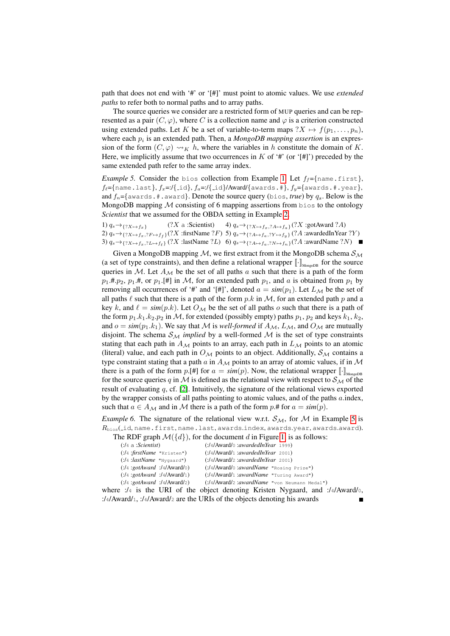path that does not end with '#' or '[#]' must point to atomic values. We use *extended paths* to refer both to normal paths and to array paths.

The source queries we consider are a restricted form of MUP queries and can be represented as a pair  $(C, \varphi)$ , where C is a collection name and  $\varphi$  is a criterion constructed using extended paths. Let K be a set of variable-to-term maps  $?X \mapsto f(p_1, \ldots, p_n)$ , where each  $p_i$  is an extended path. Then, a  $MongoDB$  mapping assertion is an expression of the form  $(C, \varphi) \rightsquigarrow_K h$ , where the variables in h constitute the domain of K. Here, we implicitly assume that two occurrences in  $K$  of '#' (or '[#]') preceded by the same extended path refer to the same array index.

*Example 5.* Consider the bios collection from Example 1. Let  $f_f = \{\text{name.first}\},\$  $f_{\ell}$ ={name.last},  $f_x$ =:/{ id},  $f_a$ =:/{ id}/Award/{awards.#},  $f_y$ ={awards.#.year}, and  $f_n = \{award, \#award\}$ . Denote the source query (bios, *true*) by  $q_s$ . Below is the MongoDB mapping  $M$  consisting of 6 mapping assertions from  $\beta$  bios to the ontology *Scientist* that we assumed for the OBDA setting in Example 2.

1)  $q_s \rightarrow \{?X \rightarrow f_x\}$  (?X a :Scientist) 2)  $q_s \rightarrow_{\{?X \mapsto f_x,?F \mapsto f_f\}}(?X \text{ :firstName } ?F) \text{ } \text{5)}\ q_s \rightarrow_{\{?A \mapsto f_a,?Y \mapsto f_y\}} (?A \text{ :awardedInYear } ?Y)$ 3)  $q_s \rightarrow \{?X \rightarrow f_x,?L \rightarrow f_\ell\}$  (?X :lastName ?L) 6)  $q_s \rightarrow \{?A \rightarrow f_a,?N \rightarrow f_n\}$  (?A :awardName ?N) 4)  $q_s \rightarrow \{?X \rightarrow f_x,?A \rightarrow f_a\}$  (?X :gotAward ?A)

Given a MongoDB mapping M, we first extract from it the MongoDB schema  $\mathcal{S}_{\mathcal{M}}$ (a set of type constraints), and then define a relational wrapper  $[\![\cdot]\!]_{\text{MongOB}}$  for the source queries in M. Let  $A_M$  be the set of all paths a such that there is a path of the form  $p_1$ .#. $p_2$ ,  $p_1$ .#, or  $p_1$ .[#] in M, for an extended path  $p_1$ , and a is obtained from  $p_1$  by removing all occurrences of '#' and '[#]', denoted  $a = \text{sim}(p_1)$ . Let  $L_M$  be the set of all paths  $\ell$  such that there is a path of the form p.k in  $\mathcal{M}$ , for an extended path p and a key k, and  $\ell = \sin(p.k)$ . Let  $O_{\mathcal{M}}$  be the set of all paths o such that there is a path of the form  $p_1.k_1.k_2.p_2$  in M, for extended (possibly empty) paths  $p_1, p_2$  and keys  $k_1, k_2$ , and  $o = sim(p_1, k_1)$ . We say that M is *well-formed* if  $A_M$ ,  $L_M$ , and  $O_M$  are mutually disjoint. The schema  $S_M$  *implied* by a well-formed  $M$  is the set of type constraints stating that each path in  $A_{\mathcal{M}}$  points to an array, each path in  $L_{\mathcal{M}}$  points to an atomic (literal) value, and each path in  $O<sub>M</sub>$  points to an object. Additionally,  $S<sub>M</sub>$  contains a type constraint stating that a path a in  $A_M$  points to an array of atomic values, if in M there is a path of the form p.[#] for  $a = sim(p)$ . Now, the relational wrapper  $[\![\cdot]\!]_{\text{MonedOB}}$ for the source queries q in M is defined as the relational view with respect to  $S_M$  of the result of evaluating  $q$ , cf. [2]. Intuitively, the signature of the relational views exported by the wrapper consists of all paths pointing to atomic values, and of the paths  $a$  index, such that  $a \in A_{\mathcal{M}}$  and in M there is a path of the form p.# for  $a = sim(p)$ .

*Example 6.* The signature of the relational view w.r.t.  $S_M$ , for M in Example 5 is  $R_{\text{bias}}$ (id,name.first,name.last,awards.index,awards.year,awards.award).

|  |  | The RDF graph $\mathcal{M}(\lbrace d \rbrace)$ , for the document d in Figure 1, is as follows: |  |  |
|--|--|-------------------------------------------------------------------------------------------------|--|--|
|--|--|-------------------------------------------------------------------------------------------------|--|--|

| $($ :/4/Award/0 :awardedInYear 1999)        |
|---------------------------------------------|
| ( A Award/1: awarded InYear 2001)           |
| ( A Award/2: awarded In Year 2001)          |
| $($ :/4/Award/0:awardName "Rosing Prize")   |
| $($ :/4/Award/1:awardName "Turing Award")   |
| (:/4/Award/2:awardName "von Neumann Medal") |
|                                             |

where :/4 is the URI of the object denoting Kristen Nygaard, and :/4/Award/0, :/4/Award/1, :/4/Award/<sup>2</sup> are the URIs of the objects denoting his awards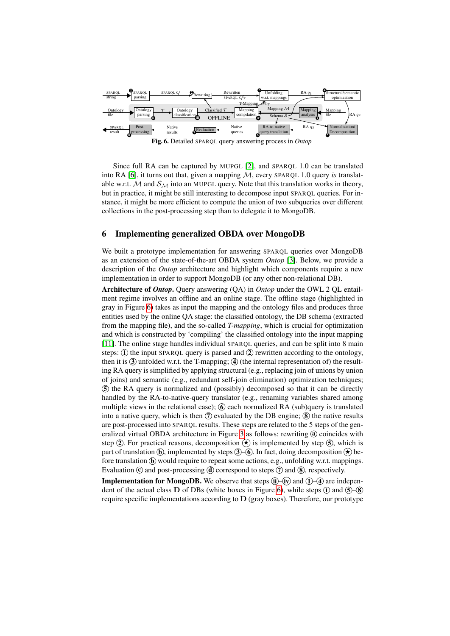

Since full RA can be captured by MUPGL [2], and SPARQL 1.0 can be translated into RA  $[6]$ , it turns out that, given a mapping  $M$ , every SPARQL 1.0 query *is* translatable w.r.t. M and  $S_M$  into an MUPGL query. Note that this translation works in theory, but in practice, it might be still interesting to decompose input SPARQL queries. For instance, it might be more efficient to compute the union of two subqueries over different collections in the post-processing step than to delegate it to MongoDB.

#### 6 Implementing generalized OBDA over MongoDB

We built a prototype implementation for answering SPARQL queries over MongoDB as an extension of the state-of-the-art OBDA system *Ontop* [3]. Below, we provide a description of the *Ontop* architecture and highlight which components require a new implementation in order to support MongoDB (or any other non-relational DB).

Architecture of *Ontop*. Query answering (QA) in *Ontop* under the OWL 2 QL entailment regime involves an offline and an online stage. The offline stage (highlighted in gray in Figure 6) takes as input the mapping and the ontology files and produces three entities used by the online QA stage: the classified ontology, the DB schema (extracted from the mapping file), and the so-called *T-mapping*, which is crucial for optimization and which is constructed by 'compiling' the classified ontology into the input mapping [11]. The online stage handles individual SPARQL queries, and can be split into 8 main steps:  $\Omega$ ) the input SPARQL query is parsed and  $\Omega$ ) rewritten according to the ontology, then it is  $\Im$  unfolded w.r.t. the T-mapping;  $\Im$  (the internal representation of) the resulting RA query is simplified by applying structural (e.g., replacing join of unions by union of joins) and semantic (e.g., redundant self-join elimination) optimization techniques; 5 the RA query is normalized and (possibly) decomposed so that it can be directly handled by the RA-to-native-query translator (e.g., renaming variables shared among multiple views in the relational case);  $\odot$  each normalized RA (sub)query is translated into a native query, which is then  $\mathcal{D}$  evaluated by the DB engine;  $\mathcal{B}$  the native results are post-processed into SPARQL results. These steps are related to the 5 steps of the generalized virtual OBDA architecture in Figure 3 as follows: rewriting @ coincides with step (2). For practical reasons, decomposition  $\star$  is implemented by step (5), which is part of translation  $\hat{b}$ , implemented by steps  $\hat{3}$  – $\hat{6}$ . In fact, doing decomposition  $\hat{c}$  before translation  $\overline{b}$  would require to repeat some actions, e.g., unfolding w.r.t. mappings. Evaluation  $\odot$  and post-processing  $\ddot{d}$  correspond to steps  $\ddot{d}$  and  $\dddot{8}$ , respectively.

**Implementation for MongoDB.** We observe that steps  $\widehat{ii}$  –  $\widehat{iv}$  and  $\widehat{1}$  –  $\widehat{4}$  are independent of the actual class D of DBs (white boxes in Figure 6), while steps  $\hat{U}$  and  $\hat{S}-\hat{S}$ require specific implementations according to  $D$  (gray boxes). Therefore, our prototype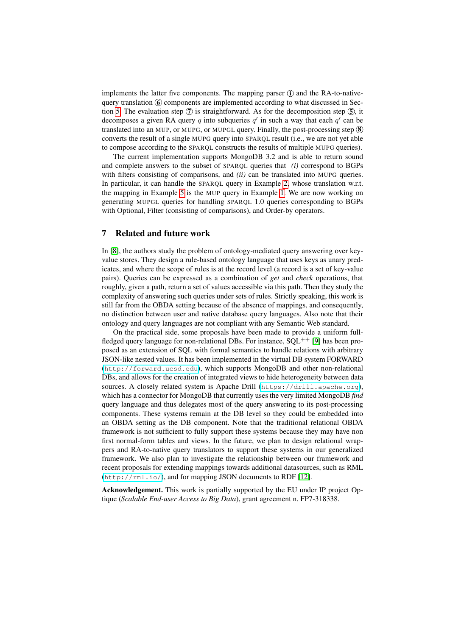implements the latter five components. The mapping parser  $\hat{I}$  and the RA-to-nativequery translation  $\circled{6}$  components are implemented according to what discussed in Section 5. The evaluation step  $\overline{Q}$  is straightforward. As for the decomposition step  $\overline{S}$ , it decomposes a given RA query q into subqueries  $q'$  in such a way that each  $q'$  can be translated into an MUP, or MUPG, or MUPGL query. Finally, the post-processing step  $\circledast$ converts the result of a single MUPG query into SPARQL result (i.e., we are not yet able to compose according to the SPARQL constructs the results of multiple MUPG queries).

The current implementation supports MongoDB 3.2 and is able to return sound and complete answers to the subset of SPARQL queries that *(i)* correspond to BGPs with filters consisting of comparisons, and *(ii)* can be translated into MUPG queries. In particular, it can handle the SPARQL query in Example 2, whose translation w.r.t. the mapping in Example 5 is the MUP query in Example 1. We are now working on generating MUPGL queries for handling SPARQL 1.0 queries corresponding to BGPs with Optional, Filter (consisting of comparisons), and Order-by operators.

#### 7 Related and future work

In [8], the authors study the problem of ontology-mediated query answering over keyvalue stores. They design a rule-based ontology language that uses keys as unary predicates, and where the scope of rules is at the record level (a record is a set of key-value pairs). Queries can be expressed as a combination of *get* and *check* operations, that roughly, given a path, return a set of values accessible via this path. Then they study the complexity of answering such queries under sets of rules. Strictly speaking, this work is still far from the OBDA setting because of the absence of mappings, and consequently, no distinction between user and native database query languages. Also note that their ontology and query languages are not compliant with any Semantic Web standard.

On the practical side, some proposals have been made to provide a uniform fullfledged query language for non-relational DBs. For instance,  $SOL^{++}$  [9] has been proposed as an extension of SQL with formal semantics to handle relations with arbitrary JSON-like nested values. It has been implemented in the virtual DB system FORWARD (<http://forward.ucsd.edu>), which supports MongoDB and other non-relational DBs, and allows for the creation of integrated views to hide heterogeneity between data sources. A closely related system is Apache Drill (<https://drill.apache.org>), which has a connector for MongoDB that currently uses the very limited MongoDB *find* query language and thus delegates most of the query answering to its post-processing components. These systems remain at the DB level so they could be embedded into an OBDA setting as the DB component. Note that the traditional relational OBDA framework is not sufficient to fully support these systems because they may have non first normal-form tables and views. In the future, we plan to design relational wrappers and RA-to-native query translators to support these systems in our generalized framework. We also plan to investigate the relationship between our framework and recent proposals for extending mappings towards additional datasources, such as RML (<http://rml.io/>), and for mapping JSON documents to RDF [12].

Acknowledgement. This work is partially supported by the EU under IP project Optique (*Scalable End-user Access to Big Data*), grant agreement n. FP7-318338.